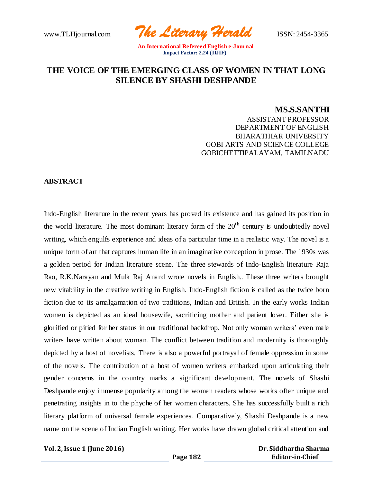www.TLHjournal.com *The Literary Herald*ISSN: 2454-3365

# **THE VOICE OF THE EMERGING CLASS OF WOMEN IN THAT LONG SILENCE BY SHASHI DESHPANDE**

### **MS.S.SANTHI**

ASSISTANT PROFESSOR DEPARTMENT OF ENGLISH BHARATHIAR UNIVERSITY GOBI ARTS AND SCIENCE COLLEGE GOBICHETTIPALAYAM, TAMILNADU

### **ABSTRACT**

Indo-English literature in the recent years has proved its existence and has gained its position in the world literature. The most dominant literary form of the  $20<sup>th</sup>$  century is undoubtedly novel writing, which engulfs experience and ideas of a particular time in a realistic way. The novel is a unique form of art that captures human life in an imaginative conception in prose. The 1930s was a golden period for Indian literature scene. The three stewards of Indo-English literature Raja Rao, R.K.Narayan and Mulk Raj Anand wrote novels in English.. These three writers brought new vitability in the creative writing in English. Indo-English fiction is called as the twice born fiction due to its amalgamation of two traditions, Indian and British. In the early works Indian women is depicted as an ideal housewife, sacrificing mother and patient lover. Either she is glorified or pitied for her status in our traditional backdrop. Not only woman writers' even male writers have written about woman. The conflict between tradition and modernity is thoroughly depicted by a host of novelists. There is also a powerful portrayal of female oppression in some of the novels. The contribution of a host of women writers embarked upon articulating their gender concerns in the country marks a significant development. The novels of Shashi Deshpande enjoy immense popularity among the women readers whose works offer unique and penetrating insights in to the phyche of her women characters. She has successfully built a rich literary platform of universal female experiences. Comparatively, Shashi Deshpande is a new name on the scene of Indian English writing. Her works have drawn global critical attention and

**Vol. 2, Issue 1 (June 2016)**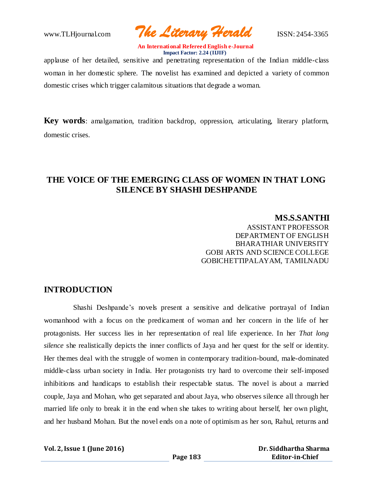www.TLHjournal.com *The Literary Herald*ISSN: 2454-3365

applause of her detailed, sensitive and penetrating representation of the Indian middle-class woman in her domestic sphere. The novelist has examined and depicted a variety of common domestic crises which trigger calamitous situations that degrade a woman.

**Key words**: amalgamation, tradition backdrop, oppression, articulating, literary platform, domestic crises.

# **THE VOICE OF THE EMERGING CLASS OF WOMEN IN THAT LONG SILENCE BY SHASHI DESHPANDE**

**MS.S.SANTHI**

ASSISTANT PROFESSOR DEPARTMENT OF ENGLISH BHARATHIAR UNIVERSITY GOBI ARTS AND SCIENCE COLLEGE GOBICHETTIPALAYAM, TAMILNADU

## **INTRODUCTION**

 Shashi Deshpande's novels present a sensitive and delicative portrayal of Indian womanhood with a focus on the predicament of woman and her concern in the life of her protagonists. Her success lies in her representation of real life experience. In her *That long silence* she realistically depicts the inner conflicts of Jaya and her quest for the self or identity. Her themes deal with the struggle of women in contemporary tradition-bound, male-dominated middle-class urban society in India. Her protagonists try hard to overcome their self-imposed inhibitions and handicaps to establish their respectable status. The novel is about a married couple, Jaya and Mohan, who get separated and about Jaya, who observes silence all through her married life only to break it in the end when she takes to writing about herself, her own plight, and her husband Mohan. But the novel ends on a note of optimism as her son, Rahul, returns and

**Vol. 2, Issue 1 (June 2016)**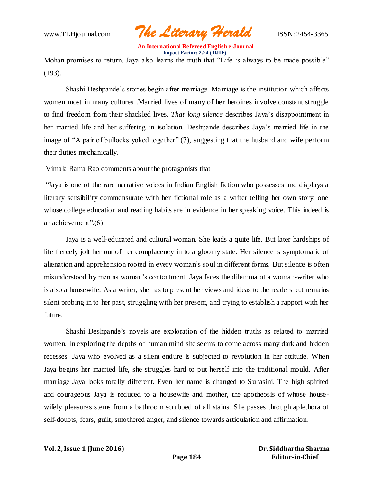www.TLHjournal.com *The Literary Herald*ISSN: 2454-3365

Mohan promises to return. Jaya also learns the truth that "Life is always to be made possible" (193).

Shashi Deshpande's stories begin after marriage. Marriage is the institution which affects women most in many cultures .Married lives of many of her heroines involve constant struggle to find freedom from their shackled lives. *That long silence* describes Jaya's disappointment in her married life and her suffering in isolation. Deshpande describes Jaya's married life in the image of "A pair of bullocks yoked together" (7), suggesting that the husband and wife perform their duties mechanically.

Vimala Rama Rao comments about the protagonists that

"Jaya is one of the rare narrative voices in Indian English fiction who possesses and displays a literary sensibility commensurate with her fictional role as a writer telling her own story, one whose college education and reading habits are in evidence in her speaking voice. This indeed is an achievement".(6)

Jaya is a well-educated and cultural woman. She leads a quite life. But later hardships of life fiercely jolt her out of her complacency in to a gloomy state. Her silence is symptomatic of alienation and apprehension rooted in every woman's soul in different forms. But silence is often misunderstood by men as woman's contentment. Jaya faces the dilemma of a woman-writer who is also a housewife. As a writer, she has to present her views and ideas to the readers but remains silent probing in to her past, struggling with her present, and trying to establish a rapport with her future.

Shashi Deshpande's novels are exploration of the hidden truths as related to married women. In exploring the depths of human mind she seems to come across many dark and hidden recesses. Jaya who evolved as a silent endure is subjected to revolution in her attitude. When Jaya begins her married life, she struggles hard to put herself into the traditional mould. After marriage Jaya looks totally different. Even her name is changed to Suhasini. The high spirited and courageous Jaya is reduced to a housewife and mother, the apotheosis of whose housewifely pleasures stems from a bathroom scrubbed of all stains. She passes through aplethora of self-doubts, fears, guilt, smothered anger, and silence towards articulation and affirmation.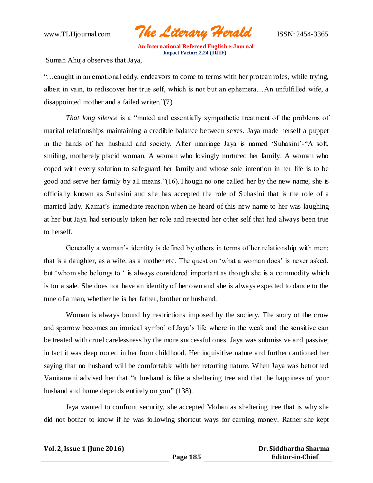www.TLHjournal.com *The Literary Herald*ISSN: 2454-3365

Suman Ahuja observes that Jaya,

"…caught in an emotional eddy, endeavors to come to terms with her protean roles, while trying, albeit in vain, to rediscover her true self, which is not but an ephemera…An unfulfilled wife, a disappointed mother and a failed writer."(7)

*That long silence* is a "muted and essentially sympathetic treatment of the problems of marital relationships maintaining a credible balance between sexes. Jaya made herself a puppet in the hands of her husband and society. After marriage Jaya is named 'Suhasini'-"A soft, smiling, motherely placid woman. A woman who lovingly nurtured her family. A woman who coped with every solution to safeguard her family and whose sole intention in her life is to be good and serve her family by all means."(16).Though no one called her by the new name, she is officially known as Suhasini and she has accepted the role of Suhasini that is the role of a married lady. Kamat's immediate reaction when he heard of this new name to her was laughing at her but Jaya had seriously taken her role and rejected her other self that had always been true to herself.

Generally a woman's identity is defined by others in terms of her relationship with men; that is a daughter, as a wife, as a mother etc. The question 'what a woman does' is never asked, but 'whom she belongs to ' is always considered important as though she is a commodity which is for a sale. She does not have an identity of her own and she is always expected to dance to the tune of a man, whether he is her father, brother or husband.

Woman is always bound by restrictions imposed by the society. The story of the crow and sparrow becomes an ironical symbol of Jaya's life where in the weak and the sensitive can be treated with cruel carelessness by the more successful ones. Jaya was submissive and passive; in fact it was deep rooted in her from childhood. Her inquisitive nature and further cautioned her saying that no husband will be comfortable with her retorting nature. When Jaya was betrothed Vanitamani advised her that "a husband is like a sheltering tree and that the happiness of your husband and home depends entirely on you" (138).

Jaya wanted to confront security, she accepted Mohan as sheltering tree that is why she did not bother to know if he was following shortcut ways for earning money. Rather she kept

| Vol. 2, Issue 1 (June 2016) |  |  |  |  |  |
|-----------------------------|--|--|--|--|--|
|-----------------------------|--|--|--|--|--|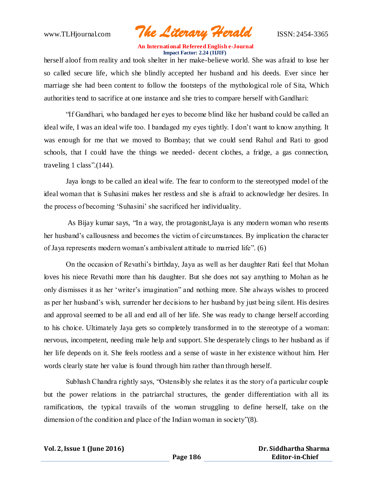www.TLHjournal.com *The Literary Herald*ISSN: 2454-3365

herself aloof from reality and took shelter in her make-believe world. She was afraid to lose her so called secure life, which she blindly accepted her husband and his deeds. Ever since her marriage she had been content to follow the footsteps of the mythological role of Sita, Which authorities tend to sacrifice at one instance and she tries to compare herself with Gandhari:

"If Gandhari, who bandaged her eyes to become blind like her husband could be called an ideal wife, I was an ideal wife too. I bandaged my eyes tightly. I don't want to know anything. It was enough for me that we moved to Bombay; that we could send Rahul and Rati to good schools, that I could have the things we needed- decent clothes, a fridge, a gas connection, traveling 1 class".(144).

Jaya longs to be called an ideal wife. The fear to conform to the stereotyped model of the ideal woman that is Suhasini makes her restless and she is afraid to acknowledge her desires. In the process of becoming 'Suhasini' she sacrificed her individuality.

As Bijay kumar says, "In a way, the protagonist,Jaya is any modern woman who resents her husband's callousness and becomes the victim of circumstances. By implication the character of Jaya represents modern woman's ambivalent attitude to married life". (6)

On the occasion of Revathi's birthday, Jaya as well as her daughter Rati feel that Mohan loves his niece Revathi more than his daughter. But she does not say anything to Mohan as he only dismisses it as her 'writer's imagination" and nothing more. She always wishes to proceed as per her husband's wish, surrender her decisions to her husband by just being silent. His desires and approval seemed to be all and end all of her life. She was ready to change herself according to his choice. Ultimately Jaya gets so completely transformed in to the stereotype of a woman: nervous, incompetent, needing male help and support. She desperately clings to her husband as if her life depends on it. She feels rootless and a sense of waste in her existence without him. Her words clearly state her value is found through him rather than through herself.

Subhash Chandra rightly says, "Ostensibly she relates it as the story of a particular couple but the power relations in the patriarchal structures, the gender differentiation with all its ramifications, the typical travails of the woman struggling to define herself, take on the dimension of the condition and place of the Indian woman in society"(8).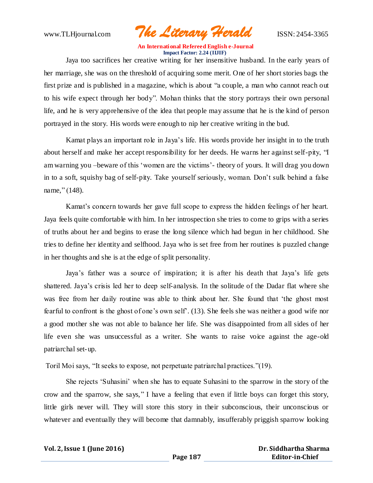www.TLHjournal.com *The Literary Herald*ISSN: 2454-3365

Jaya too sacrifices her creative writing for her insensitive husband. In the early years of her marriage, she was on the threshold of acquiring some merit. One of her short stories bags the first prize and is published in a magazine, which is about "a couple, a man who cannot reach out to his wife expect through her body". Mohan thinks that the story portrays their own personal life, and he is very apprehensive of the idea that people may assume that he is the kind of person portrayed in the story. His words were enough to nip her creative writing in the bud.

Kamat plays an important role in Jaya's life. His words provide her insight in to the truth about herself and make her accept responsibility for her deeds. He warns her against self-pity, "I am warning you –beware of this 'women are the victims'- theory of yours. It will drag you down in to a soft, squishy bag of self-pity. Take yourself seriously, woman. Don't sulk behind a false name," (148).

Kamat's concern towards her gave full scope to express the hidden feelings of her heart. Jaya feels quite comfortable with him. In her introspection she tries to come to grips with a series of truths about her and begins to erase the long silence which had begun in her childhood. She tries to define her identity and selfhood. Jaya who is set free from her routines is puzzled change in her thoughts and she is at the edge of split personality.

Jaya's father was a source of inspiration; it is after his death that Jaya's life gets shattered. Jaya's crisis led her to deep self-analysis. In the solitude of the Dadar flat where she was free from her daily routine was able to think about her. She found that 'the ghost most fearful to confront is the ghost of one's own self'. (13). She feels she was neither a good wife nor a good mother she was not able to balance her life. She was disappointed from all sides of her life even she was unsuccessful as a writer. She wants to raise voice against the age-old patriarchal set-up.

Toril Moi says, "It seeks to expose, not perpetuate patriarchal practices."(19).

She rejects 'Suhasini' when she has to equate Suhasini to the sparrow in the story of the crow and the sparrow, she says," I have a feeling that even if little boys can forget this story, little girls never will. They will store this story in their subconscious, their unconscious or whatever and eventually they will become that damnably, insufferably priggish sparrow looking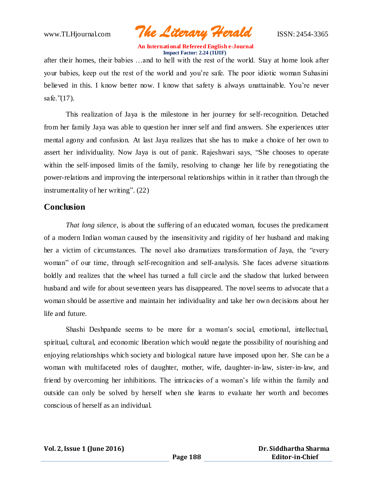www.TLHjournal.com *The Literary Herald*ISSN: 2454-3365

after their homes, their babies …and to hell with the rest of the world. Stay at home look after your babies, keep out the rest of the world and you're safe. The poor idiotic woman Suhasini believed in this. I know better now. I know that safety is always unattainable. You're never safe."(17).

This realization of Jaya is the milestone in her journey for self-recognition. Detached from her family Jaya was able to question her inner self and find answers. She experiences utter mental agony and confusion. At last Jaya realizes that she has to make a choice of her own to assert her individuality. Now Jaya is out of panic. Rajeshwari says, "She chooses to operate within the self-imposed limits of the family, resolving to change her life by renegotiating the power-relations and improving the interpersonal relationships within in it rather than through the instrumentality of her writing". (22)

### **Conclusion**

*That long silence*, is about the suffering of an educated woman, focuses the predicament of a modern Indian woman caused by the insensitivity and rigidity of her husband and making her a victim of circumstances. The novel also dramatizes transformation of Jaya, the "every woman" of our time, through self-recognition and self-analysis. She faces adverse situations boldly and realizes that the wheel has turned a full circle and the shadow that lurked between husband and wife for about seventeen years has disappeared. The novel seems to advocate that a woman should be assertive and maintain her individuality and take her own decisions about her life and future.

Shashi Deshpande seems to be more for a woman's social, emotional, intellectual, spiritual, cultural, and economic liberation which would negate the possibility of nourishing and enjoying relationships which society and biological nature have imposed upon her. She can be a woman with multifaceted roles of daughter, mother, wife, daughter-in-law, sister-in-law, and friend by overcoming her inhibitions. The intricacies of a woman's life within the family and outside can only be solved by herself when she learns to evaluate her worth and becomes conscious of herself as an individual.